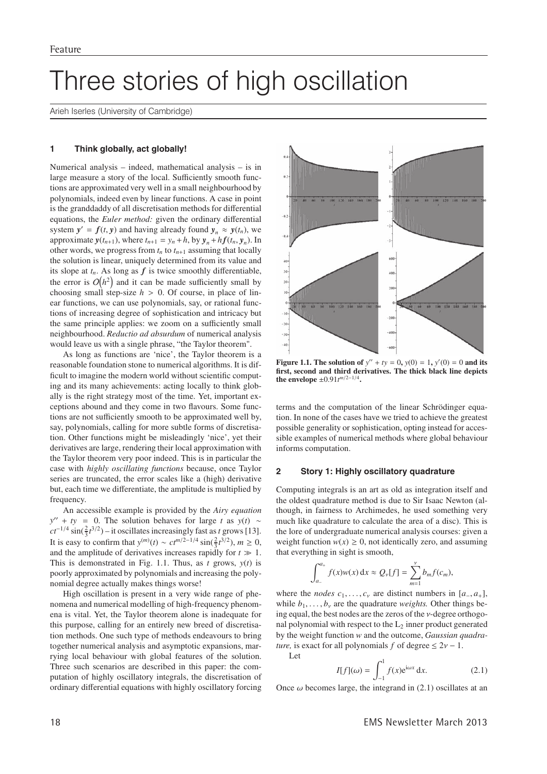# Three stories of high oscillation

Arieh Iserles (University of Cambridge)

#### $\mathbf{1}$ Think globally, act globally!

Numerical analysis – indeed, mathematical analysis – is in large measure a story of the local. Sufficiently smooth functions are approximated very well in a small neighbourhood by polynomials, indeed even by linear functions. A case in point is the granddaddy of all discretisation methods for differential equations, the *Euler method*: given the ordinary differential system  $y' = f(t, y)$  and having already found  $y_n \approx y(t_n)$ , we approximate  $y(t_{n+1})$ , where  $t_{n+1} = y_n + h$ , by  $y_n + hf(t_n, y_n)$ . In other words, we progress from  $t_n$  to  $t_{n+1}$  assuming that locally the solution is linear, uniquely determined from its value and its slope at  $t_n$ . As long as  $f$  is twice smoothly differentiable, the error is  $O(h^2)$  and it can be made sufficiently small by choosing small step-size  $h > 0$ . Of course, in place of linear functions, we can use polynomials, say, or rational functions of increasing degree of sophistication and intricacy but the same principle applies: we zoom on a sufficiently small neighbourhood. Reductio ad absurdum of numerical analysis would leave us with a single phrase, "the Taylor theorem".

As long as functions are 'nice', the Taylor theorem is a reasonable foundation stone to numerical algorithms. It is difficult to imagine the modern world without scientific computing and its many achievements: acting locally to think globally is the right strategy most of the time. Yet, important exceptions abound and they come in two flavours. Some functions are not sufficiently smooth to be approximated well by, say, polynomials, calling for more subtle forms of discretisation. Other functions might be misleadingly 'nice', yet their derivatives are large, rendering their local approximation with the Taylor theorem very poor indeed. This is in particular the case with *highly oscillating functions* because, once Taylor series are truncated, the error scales like a (high) derivative but, each time we differentiate, the amplitude is multiplied by frequency.

An accessible example is provided by the Airy equation  $y'' + ty = 0$ . The solution behaves for large t as  $y(t) \sim$  $ct^{-1/4}$  sin( $\frac{2}{3}t^{3/2}$ ) – it oscillates increasingly fast as t grows [13]. It is easy to confirm that  $y^{(m)}(t) \sim ct^{m/2-1/4} \sin(\frac{2}{3}t^{3/2})$ ,  $m \ge 0$ , and the amplitude of derivatives increases rapidly for  $t \gg 1$ . This is demonstrated in Fig. 1.1. Thus, as  $t$  grows,  $y(t)$  is poorly approximated by polynomials and increasing the polynomial degree actually makes things worse!

High oscillation is present in a very wide range of phenomena and numerical modelling of high-frequency phenomena is vital. Yet, the Taylor theorem alone is inadequate for this purpose, calling for an entirely new breed of discretisation methods. One such type of methods endeavours to bring together numerical analysis and asymptotic expansions, marrying local behaviour with global features of the solution. Three such scenarios are described in this paper: the computation of highly oscillatory integrals, the discretisation of ordinary differential equations with highly oscillatory forcing



**Figure 1.1. The solution of**  $y'' + ty = 0$ ,  $y(0) = 1$ ,  $y'(0) = 0$  and its first, second and third derivatives. The thick black line depicts the envelope  $\pm 0.91t^{m/2-1/4}$ .

terms and the computation of the linear Schrödinger equation. In none of the cases have we tried to achieve the greatest possible generality or sophistication, opting instead for accessible examples of numerical methods where global behaviour informs computation.

#### $\overline{2}$ Story 1: Highly oscillatory quadrature

Computing integrals is an art as old as integration itself and the oldest quadrature method is due to Sir Isaac Newton (although, in fairness to Archimedes, he used something very much like quadrature to calculate the area of a disc). This is the lore of undergraduate numerical analysis courses: given a weight function  $w(x) \ge 0$ , not identically zero, and assuming that everything in sight is smooth,

$$
\int_{a_{-}}^{a_{+}} f(x)w(x) dx \approx Q_{\nu}[f] = \sum_{m=1}^{\nu} b_{m} f(c_{m}).
$$

where the *nodes*  $c_1, \ldots, c_v$  are distinct numbers in  $[a_-, a_+]$ , while  $b_1, \ldots, b_v$  are the quadrature *weights*. Other things being equal, the best nodes are the zeros of the *v*-degree orthogonal polynomial with respect to the  $L_2$  inner product generated by the weight function w and the outcome, Gaussian quadra*ture*, is exact for all polynomials f of degree  $\leq 2v - 1$ .  $I$  et

$$
I[f](\omega) = \int_{-1}^{1} f(x)e^{i\omega x} dx.
$$
 (2.1)

Once  $\omega$  becomes large, the integrand in (2.1) oscillates at an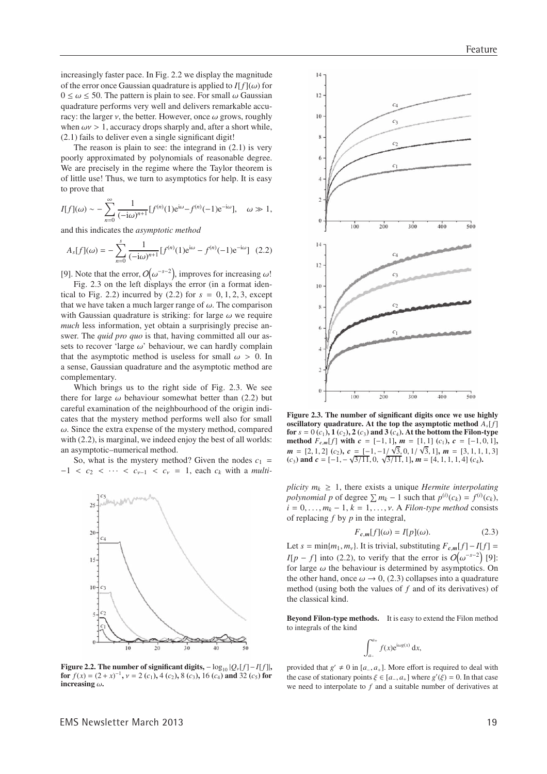increasingly faster pace. In Fig. 2.2 we display the magnitude of the error once Gaussian quadrature is applied to  $I[f](\omega)$  for  $0 \leq \omega \leq 50$ . The pattern is plain to see. For small  $\omega$  Gaussian quadrature performs very well and delivers remarkable accuracy: the larger  $\nu$ , the better. However, once  $\omega$  grows, roughly when  $\omega v > 1$ , accuracy drops sharply and, after a short while,  $(2.1)$  fails to deliver even a single significant digit!

The reason is plain to see: the integrand in  $(2.1)$  is very poorly approximated by polynomials of reasonable degree. We are precisely in the regime where the Taylor theorem is of little use! Thus, we turn to asymptotics for help. It is easy to prove that

$$
I[f](\omega) \sim -\sum_{n=0}^{\infty} \frac{1}{(-i\omega)^{n+1}} [f^{(n)}(1)e^{i\omega} - f^{(n)}(-1)e^{-i\omega}], \quad \omega \gg 1,
$$

and this indicates the *asymptotic method* 

$$
A_s[f](\omega) = -\sum_{n=0}^{\infty} \frac{1}{(-i\omega)^{n+1}} [f^{(n)}(1)e^{i\omega} - f^{(n)}(-1)e^{-i\omega}] \quad (2.2)
$$

[9]. Note that the error,  $O(\omega^{-s-2})$ , improves for increasing  $\omega$ !

Fig. 2.3 on the left displays the error (in a format identical to Fig. 2.2) incurred by (2.2) for  $s = 0, 1, 2, 3$ , except that we have taken a much larger range of  $\omega$ . The comparison with Gaussian quadrature is striking: for large  $\omega$  we require much less information, yet obtain a surprisingly precise answer. The *quid pro quo* is that, having committed all our assets to recover 'large  $\omega$ ' behaviour, we can hardly complain that the asymptotic method is useless for small  $\omega > 0$ . In a sense, Gaussian quadrature and the asymptotic method are complementary.

Which brings us to the right side of Fig. 2.3. We see there for large  $\omega$  behaviour somewhat better than (2.2) but careful examination of the neighbourhood of the origin indicates that the mystery method performs well also for small  $\omega$ . Since the extra expense of the mystery method, compared with  $(2.2)$ , is marginal, we indeed enjoy the best of all worlds: an asymptotic-numerical method.

So, what is the mystery method? Given the nodes  $c_1$  =  $-1 < c_2 < \cdots < c_{\nu-1} < c_{\nu} = 1$ , each  $c_k$  with a *multi-*



 $12$  $10$  $\overline{C}$ 100  $200$ 300  $400$  $500$ 14  $\overline{c}$  $12$  $\mathcal{C}^{\mathfrak{a}}$  $\overline{10}$  $\mathcal{C}^{\prime}$  $\overline{c}$ 

 $14$ 

Figure 2.3. The number of significant digits once we use highly oscillatory quadrature. At the top the asymptotic method  $A_s[f]$ for  $s = 0(c_1), 1(c_2), 2(c_3)$  and 3  $(c_4)$ . At the bottom the Filon-type method  $F_{c,m}[f]$  with  $c = [-1,1]$ ,  $m = [1,1]$   $(c_1)$ ,  $c = [-1,0,1]$ ,  $m = [2, 1, 2]$  (c<sub>2</sub>),  $c = [-1, -1/\sqrt{3}, 0, 1/\sqrt{3}, 1]$ ,  $m = [3, 1, 1, 1, 3]$  $(c_3)$  and  $c = [-1, -\sqrt{3}/11, 0, \sqrt{3}/11, 1]$ ,  $m = [4, 1, 1, 1, 4]$   $(c_4)$ .

200

300

 $400$ 

 $500$ 

 $100$ 

plicity  $m_k \geq 1$ , there exists a unique *Hermite interpolating polynomial* p of degree  $\sum m_k - 1$  such that  $p^{(i)}(c_k) = f^{(i)}(c_k)$ ,  $i = 0, \ldots, m_k - 1, k = 1, \ldots, v$ . A Filon-type method consists of replacing  $f$  by  $p$  in the integral,

$$
F_{c,m}[f](\omega) = I[p](\omega). \tag{2.3}
$$

Let  $s = min\{m_1, m_v\}$ . It is trivial, substituting  $F_{c,m}[f] - I[f] =$  $I[p - f]$  into (2.2), to verify that the error is  $O(\omega^{-s-2})$  [9]: for large  $\omega$  the behaviour is determined by asymptotics. On the other hand, once  $\omega \rightarrow 0$ , (2.3) collapses into a quadrature method (using both the values of  $f$  and of its derivatives) of the classical kind.

Beyond Filon-type methods. It is easy to extend the Filon method to integrals of the kind

$$
\int_{a_-}^{a_+} f(x) e^{i\omega g(x)} dx,
$$

Figure 2.2. The number of significant digits,  $-\log_{10} |Q_{\nu}[f]-I[f]|$ , for  $f(x) = (2 + x)^{-1}$ ,  $v = 2(c_1)$ ,  $4(c_2)$ ,  $8(c_3)$ ,  $16(c_4)$  and  $32(c_5)$  for increasing  $\omega$ .

provided that  $g' \neq 0$  in [a<sub>-1</sub>, a<sub>+</sub>]. More effort is required to deal with the case of stationary points  $\xi \in [a_-, a_+]$  where  $g'(\xi) = 0$ . In that case we need to interpolate to  $f$  and a suitable number of derivatives at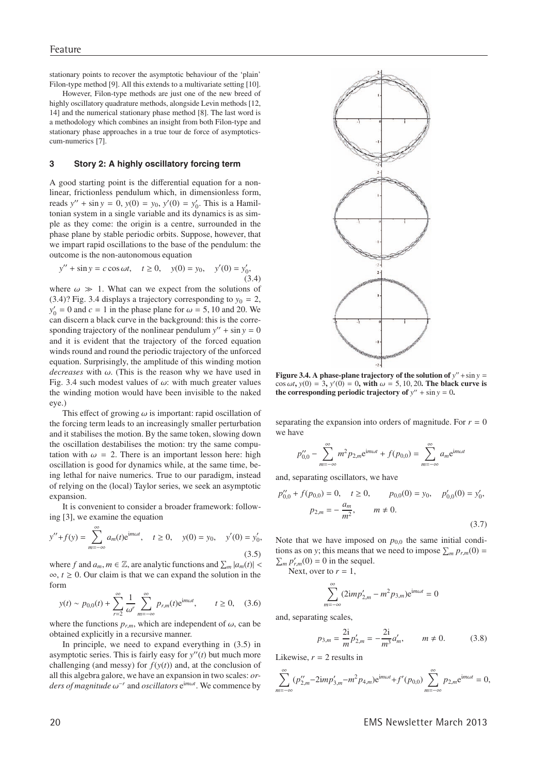stationary points to recover the asymptotic behaviour of the 'plain' Filon-type method [9]. All this extends to a multivariate setting [10].

However, Filon-type methods are just one of the new breed of highly oscillatory quadrature methods, alongside Levin methods [12, 14] and the numerical stationary phase method [8]. The last word is a methodology which combines an insight from both Filon-type and stationary phase approaches in a true tour de force of asymptoticscum-numerics [7].

#### 3 Story 2: A highly oscillatory forcing term

A good starting point is the differential equation for a nonlinear, frictionless pendulum which, in dimensionless form, reads  $y'' + \sin y = 0$ ,  $y(0) = y_0$ ,  $y'(0) = y'_0$ . This is a Hamiltonian system in a single variable and its dynamics is as simple as they come: the origin is a centre, surrounded in the phase plane by stable periodic orbits. Suppose, however, that we impart rapid oscillations to the base of the pendulum: the outcome is the non-autonomous equation

$$
y'' + \sin y = c \cos \omega t, \quad t \ge 0, \quad y(0) = y_0, \quad y'(0) = y'_0,
$$
\n(3.4)

where  $\omega \gg 1$ . What can we expect from the solutions of  $(3.4)$ ? Fig. 3.4 displays a trajectory corresponding to  $y_0 = 2$ ,  $y'_0 = 0$  and  $c = 1$  in the phase plane for  $\omega = 5$ , 10 and 20. We can discern a black curve in the background: this is the corresponding trajectory of the nonlinear pendulum  $y'' + \sin y = 0$ and it is evident that the trajectory of the forced equation winds round and round the periodic trajectory of the unforced equation. Surprisingly, the amplitude of this winding motion *decreases* with  $\omega$ . (This is the reason why we have used in Fig. 3.4 such modest values of  $\omega$ : with much greater values the winding motion would have been invisible to the naked eye.)

This effect of growing  $\omega$  is important: rapid oscillation of the forcing term leads to an increasingly smaller perturbation and it stabilises the motion. By the same token, slowing down the oscillation destabilises the motion: try the same computation with  $\omega = 2$ . There is an important lesson here: high oscillation is good for dynamics while, at the same time, being lethal for naive numerics. True to our paradigm, instead of relying on the (local) Taylor series, we seek an asymptotic expansion.

It is convenient to consider a broader framework: following [3], we examine the equation

$$
y'' + f(y) = \sum_{m = -\infty}^{\infty} a_m(t)e^{im\omega t}, \quad t \ge 0, \quad y(0) = y_0, \quad y'(0) = y'_0,
$$
\n(3.5)

where f and  $a_m$ ,  $m \in \mathbb{Z}$ , are analytic functions and  $\sum_m |a_m(t)|$  <  $\infty$ ,  $t \geq 0$ . Our claim is that we can expand the solution in the form

$$
y(t) \sim p_{0,0}(t) + \sum_{r=2}^{\infty} \frac{1}{\omega^r} \sum_{m=-\infty}^{\infty} p_{r,m}(t) e^{im\omega t}, \qquad t \ge 0,
$$
 (3.6)

where the functions  $p_{r,m}$ , which are independent of  $\omega$ , can be obtained explicitly in a recursive manner.

In principle, we need to expand everything in  $(3.5)$  in asymptotic series. This is fairly easy for  $y''(t)$  but much more challenging (and messy) for  $f(y(t))$  and, at the conclusion of all this algebra galore, we have an expansion in two scales: or*ders of magnitude*  $\omega^{-r}$  and *oscillators*  $e^{im\omega t}$ . We commence by



Figure 3.4. A phase-plane trajectory of the solution of  $y'' + \sin y =$  $\cos \omega t$ ,  $y(0) = 3$ ,  $y'(0) = 0$ , with  $\omega = 5$ , 10, 20. The black curve is the corresponding periodic trajectory of  $y'' + \sin y = 0$ .

separating the expansion into orders of magnitude. For  $r = 0$ we have

$$
p_{0,0}'' - \sum_{m=-\infty}^{\infty} m^2 p_{2,m} e^{im\omega t} + f(p_{0,0}) = \sum_{m=-\infty}^{\infty} a_m e^{im\omega}
$$

and, separating oscillators, we have

$$
p_{0,0}'' + f(p_{0,0}) = 0, \quad t \ge 0, \qquad p_{0,0}(0) = y_0, \quad p_{0,0}'(0) = y_0',
$$

$$
p_{2,m} = -\frac{a_m}{m^2}, \qquad m \ne 0.
$$
(3.7)

Note that we have imposed on  $p_{0,0}$  the same initial conditions as on y; this means that we need to impose  $\sum_{m} p_{r,m}(0) =$  $\sum_m p'_{r,m}(0) = 0$  in the sequel.

Next, over to  $r = 1$ ,

$$
\sum_{n=-\infty}^{\infty} (2imp'_{2,m} - m^2p_{3,m})e^{im\omega t} = 0
$$

and, separating scales,

$$
p_{3,m} = \frac{2i}{m} p'_{2,m} = -\frac{2i}{m^3} a'_m, \qquad m \neq 0.
$$
 (3.8)

Likewise,  $r = 2$  results in

$$
\sum_{m=-\infty}^{\infty} (p_{2,m}^{"}-2imp_{3,m}^{'}-m^2p_{4,m})e^{im\omega t}+f'(p_{0,0})\sum_{m=-\infty}^{\infty} p_{2,m}e^{im\omega t}=0,
$$

**EMS Newsletter March 2013**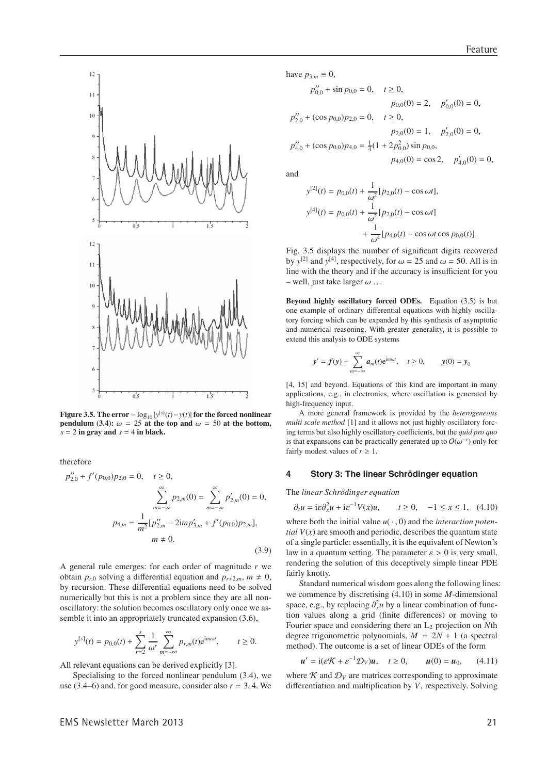

Figure 3.5. The error  $-\log_{10}|y^{[s]}(t)-y(t)|$  for the forced nonlinear pendulum (3.4):  $\omega = 25$  at the top and  $\omega = 50$  at the bottom,  $s = 2$  in gray and  $s = 4$  in black.

therefore

$$
p_{2,0}'' + f'(p_{0,0})p_{2,0} = 0, \quad t \ge 0,
$$

$$
\sum_{m=-\infty}^{\infty} p_{2,m}(0) = \sum_{m=-\infty}^{\infty} p_{2,m}'(0) = 0,
$$

$$
p_{4,m} = \frac{1}{m^2} [p_{2,m}'' - 2imp_{3,m}' + f'(p_{0,0})p_{2,m}],
$$

$$
m \ne 0.
$$
(3.9)

A general rule emerges: for each order of magnitude  $r$  we obtain  $p_{r,0}$  solving a differential equation and  $p_{r+2,m}$ ,  $m \neq 0$ , by recursion. These differential equations need to be solved numerically but this is not a problem since they are all nonoscillatory: the solution becomes oscillatory only once we assemble it into an appropriately truncated expansion (3.6),

$$
y^{[s]}(t) = p_{0,0}(t) + \sum_{r=2}^{s} \frac{1}{\omega^r} \sum_{m=-\infty}^{\infty} p_{r,m}(t) e^{im\omega t}, \qquad t \ge 0.
$$

All relevant equations can be derived explicitly [3].

Specialising to the forced nonlinear pendulum (3.4), we use (3.4–6) and, for good measure, consider also  $r = 3, 4$ . We

have 
$$
p_{3m} \equiv 0
$$
,

$$
p_{0,0}'' + \sin p_{0,0} = 0, \quad t \ge 0,
$$
  
\n
$$
p_{0,0}(0) = 2, \quad p_{0,0}'(0) = 0,
$$
  
\n
$$
p_{2,0}'' + (\cos p_{0,0})p_{2,0} = 0, \quad t \ge 0,
$$
  
\n
$$
p_{2,0}(0) = 1, \quad p_{2,0}'(0) = 0,
$$
  
\n
$$
p_{4,0}'' + (\cos p_{0,0})p_{4,0} = \frac{1}{4}(1 + 2p_{0,0}^2)\sin p_{0,0},
$$
  
\n
$$
p_{4,0}(0) = \cos 2, \quad p_{4,0}'(0) = 0,
$$

and

$$
y^{[2]}(t) = p_{0,0}(t) + \frac{1}{\omega^2} [p_{2,0}(t) - \cos \omega t],
$$
  
\n
$$
y^{[4]}(t) = p_{0,0}(t) + \frac{1}{\omega^2} [p_{2,0}(t) - \cos \omega t]
$$
  
\n
$$
+ \frac{1}{\omega^4} [p_{4,0}(t) - \cos \omega t \cos p_{0,0}(t)].
$$

Fig. 3.5 displays the number of significant digits recovered by  $y^{[2]}$  and  $y^{[4]}$ , respectively, for  $\omega = 25$  and  $\omega = 50$ . All is in line with the theory and if the accuracy is insufficient for you  $-$  well, just take larger  $\omega$ ...

Beyond highly oscillatory forced ODEs. Equation (3.5) is but one example of ordinary differential equations with highly oscillatory forcing which can be expanded by this synthesis of asymptotic and numerical reasoning. With greater generality, it is possible to extend this analysis to ODE systems

$$
y' = f(y) + \sum_{m=-\infty}^{\infty} a_m(t) e^{im\omega t}, \quad t \ge 0, \qquad y(0) = y_0
$$

[4, 15] and beyond. Equations of this kind are important in many applications, e.g., in electronics, where oscillation is generated by high-frequency input.

A more general framework is provided by the heterogeneous multi scale method [1] and it allows not just highly oscillatory forcing terms but also highly oscillatory coefficients, but the quid pro quo is that expansions can be practically generated up to  $O(\omega^{-r})$  only for fairly modest values of  $r \geq 1$ .

#### $\overline{\mathbf{4}}$ Story 3: The linear Schrödinger equation

The linear Schrödinger equation

$$
\partial_t u = i\varepsilon \partial_x^2 u + i\varepsilon^{-1} V(x)u
$$
,  $t \ge 0$ ,  $-1 \le x \le 1$ , (4.10)

where both the initial value  $u(\cdot, 0)$  and the *interaction potential*  $V(x)$  are smooth and periodic, describes the quantum state of a single particle: essentially, it is the equivalent of Newton's law in a quantum setting. The parameter  $\varepsilon > 0$  is very small, rendering the solution of this deceptively simple linear PDE fairly knotty.

Standard numerical wisdom goes along the following lines: we commence by discretising  $(4.10)$  in some *M*-dimensional space, e.g., by replacing  $\partial_x^2 u$  by a linear combination of function values along a grid (finite differences) or moving to Fourier space and considering there an  $L_2$  projection on Nth degree trigonometric polynomials,  $M = 2N + 1$  (a spectral method). The outcome is a set of linear ODEs of the form

$$
u' = i(\varepsilon \mathcal{K} + \varepsilon^{-1} \mathcal{D}_V)u, \quad t \ge 0, \qquad u(0) = u_0,
$$
 (4.11)

where  $\mathcal K$  and  $\mathcal D_V$  are matrices corresponding to approximate differentiation and multiplication by  $V$ , respectively. Solving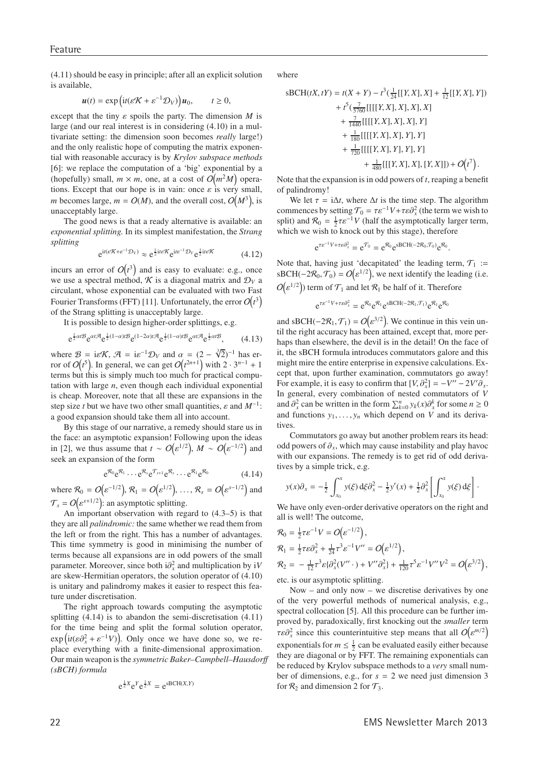$(4.11)$  should be easy in principle; after all an explicit solution is available,

$$
\boldsymbol{u}(t) = \exp\left(\mathrm{i}t(\varepsilon\mathcal{K} + \varepsilon^{-1}\mathcal{D}_V)\right)\boldsymbol{u}_0, \qquad t \ge 0,
$$

except that the tiny  $\varepsilon$  spoils the party. The dimension M is large (and our real interest is in considering  $(4.10)$  in a multivariate setting: the dimension soon becomes really large!) and the only realistic hope of computing the matrix exponential with reasonable accuracy is by Krylov subspace methods [6]: we replace the computation of a 'big' exponential by a (hopefully) small,  $m \times m$ , one, at a cost of  $O(m^2M)$  operations. Except that our hope is in vain: once  $\varepsilon$  is very small, *m* becomes large,  $m = O(M)$ , and the overall cost,  $O(M^3)$ , is unacceptably large.

The good news is that a ready alternative is available: an exponential splitting. In its simplest manifestation, the Strang splitting

$$
e^{it(\varepsilon \mathcal{K} + \varepsilon^{-1} \mathcal{D}_V)} \approx e^{\frac{1}{2} i \varepsilon \mathcal{K}} e^{i \varepsilon^{-1} \mathcal{D}_V} e^{\frac{1}{2} i \varepsilon \mathcal{K}}
$$
(4.12)

incurs an error of  $O(t^3)$  and is easy to evaluate: e.g., once we use a spectral method,  $\mathcal K$  is a diagonal matrix and  $\mathcal D_V$  a circulant, whose exponential can be evaluated with two Fast Fourier Transforms (FFT) [11]. Unfortunately, the error  $O(t^3)$ of the Strang splitting is unacceptably large.

It is possible to design higher-order splittings, e.g.

$$
e^{\frac{1}{2}\alpha t\mathcal{B}}e^{\alpha t\mathcal{A}}e^{\frac{1}{2}(1-\alpha)t\mathcal{B}}e^{(1-2\alpha)t\mathcal{A}}e^{\frac{1}{2}(1-\alpha)t\mathcal{B}}e^{\alpha t\mathcal{A}}e^{\frac{1}{2}\alpha t\mathcal{B}},\qquad(4.13)
$$

where  $\mathcal{B} = i\varepsilon \mathcal{K}$ ,  $\mathcal{A} = i\varepsilon^{-1} \mathcal{D}_V$  and  $\alpha = (2 - \sqrt[3]{2})^{-1}$  has error of  $O(t^5)$ . In general, we can get  $O(t^{2n+1})$  with  $2 \cdot 3^{n-1} + 1$ terms but this is simply much too much for practical computation with large  $n$ , even though each individual exponential is cheap. Moreover, note that all these are expansions in the step size t but we have two other small quantities,  $\varepsilon$  and  $M^{-1}$ : a good expansion should take them all into account.

By this stage of our narrative, a remedy should stare us in the face: an asymptotic expansion! Following upon the ideas in [2], we thus assume that  $t \sim O(\varepsilon^{1/2})$ ,  $M \sim O(\varepsilon^{-1/2})$  and seek an expansion of the form

$$
e^{\mathcal{R}_0}e^{\mathcal{R}_1}\cdots e^{\mathcal{R}_s}e^{\mathcal{T}_{s+1}}e^{\mathcal{R}_s}\cdots e^{\mathcal{R}_1}e^{\mathcal{R}_0}
$$
\n
$$
(4.14)
$$

where  $\mathcal{R}_0 = O(\varepsilon^{-1/2}), \mathcal{R}_1 = O(\varepsilon^{1/2}), \dots, \mathcal{R}_s = O(\varepsilon^{s-1/2})$  and  $\mathcal{T}_s = O(\varepsilon^{s+1/2})$ : an asymptotic splitting.

An important observation with regard to  $(4.3-5)$  is that they are all *palindromic*: the same whether we read them from the left or from the right. This has a number of advantages. This time symmetry is good in minimising the number of terms because all expansions are in odd powers of the small parameter. Moreover, since both  $i\partial_x^2$  and multiplication by iV are skew-Hermitian operators, the solution operator of  $(4.10)$ is unitary and palindromy makes it easier to respect this feature under discretisation.

The right approach towards computing the asymptotic splitting  $(4.14)$  is to abandon the semi-discretisation  $(4.11)$ for the time being and split the formal solution operator,  $\exp\left(it(\varepsilon\partial_x^2 + \varepsilon^{-1}V)\right)$ . Only once we have done so, we replace everything with a finite-dimensional approximation. Our main weapon is the *symmetric Baker–Campbell–Hausdorff*  $(sBCH)$  formula

$$
e^{\frac{1}{2}X}e^Ye^{\frac{1}{2}X} = e^{sBCH(X,Y)}
$$

where

$$
sBCH(tX, tY) = t(X + Y) - t^{3} \left( \frac{1}{24} [[Y, X], X] + \frac{1}{12} [[Y, X], Y] \right)
$$
  
+  $t^{5} \left( \frac{7}{5760} [[[[Y, X], X], X], X] \right)$   
+  $\frac{7}{1440} [[[[Y, X], X], X], Y]$   
+  $\frac{1}{180} [[[[Y, X], X], Y], Y]$   
+  $\frac{1}{720} [[[[Y, X], Y], Y], Y]$   
+  $\frac{1}{480} [[[Y, X], X], [Y, X]]) + O(t^{7}).$ 

Note that the expansion is in odd powers of  $t$ , reaping a benefit of palindromy!

We let  $\tau = i\Delta t$ , where  $\Delta t$  is the time step. The algorithm commences by setting  $T_0 = \tau \varepsilon^{-1} V + \tau \varepsilon \partial_x^2$  (the term we wish to split) and  $\mathcal{R}_0 = \frac{1}{2}\tau \varepsilon^{-1}V$  (half the asymptotically larger term, which we wish to knock out by this stage), therefore

$$
e^{\tau \varepsilon^{-1} V + \tau \varepsilon \partial_x^2} = e^{\mathcal{T}_0} = e^{\mathcal{R}_0} e^{sBCH(-2\mathcal{R}_0, \mathcal{T}_0)} e^{\mathcal{R}_0}.
$$

Note that, having just 'decapitated' the leading term,  $\mathcal{T}_1 :=$ sBCH( $-2\mathcal{R}_0$ ,  $\mathcal{T}_0$ ) =  $O(\varepsilon^{1/2})$ , we next identify the leading (i.e.  $O(\varepsilon^{1/2})$  term of  $\mathcal{T}_1$  and let  $\mathcal{R}_1$  be half of it. Therefore

$$
e^{\tau \varepsilon^{-1} V + \tau \varepsilon \partial_x^2} = e^{\mathcal{R}_0} e^{\mathcal{R}_1} e^{sBCH(-2\mathcal{R}_1, \mathcal{T}_1)} e^{\mathcal{R}_1} e^{\mathcal{R}_0}
$$

and sBCH( $-2\mathcal{R}_1$ ,  $\mathcal{T}_1$ ) =  $O(\varepsilon^{3/2})$ . We continue in this vein until the right accuracy has been attained, except that, more perhaps than elsewhere, the devil is in the detail! On the face of it, the sBCH formula introduces commutators galore and this might mire the entire enterprise in expensive calculations. Except that, upon further examination, commutators go away! For example, it is easy to confirm that  $[V, \partial_x^2] = -V'' - 2V' \partial_x$ . In general, every combination of nested commutators of V and  $\partial_x^2$  can be written in the form  $\sum_{k=0}^n y_k(x) \partial_x^k$  for some  $n \ge 0$ and functions  $y_1, \ldots, y_n$  which depend on V and its derivatives.

Commutators go away but another problem rears its head: odd powers of  $\partial_x$ , which may cause instability and play havoc with our expansions. The remedy is to get rid of odd derivatives by a simple trick, e.g.

$$
y(x)\partial_x = -\frac{1}{2}\int_{x_0}^x y(\xi) d\xi \partial_x^2 - \frac{1}{2}y'(x) + \frac{1}{2}\partial_x^2 \left[\int_{x_0}^x y(\xi) d\xi\right].
$$

We have only even-order derivative operators on the right and all is well! The outcome,

$$
\mathcal{R}_0 = \frac{1}{2}\tau \varepsilon^{-1} V = O(\varepsilon^{-1/2}),
$$
\n
$$
\mathcal{R}_1 = \frac{1}{2}\tau \varepsilon \partial_x^2 + \frac{1}{24}\tau^3 \varepsilon^{-1} V'' = O(\varepsilon^{1/2}),
$$
\n
$$
\mathcal{R}_2 = -\frac{1}{12}\tau^3 \varepsilon \{\partial_x^2 (V'' \cdot) + V'' \partial_x^2\} + \frac{1}{120}\tau^5 \varepsilon^{-1} V'' V^2 = O(\varepsilon^{3/2}),
$$
\netc is our asymptotic splitting

etc. is our asymptotic splitting.

Now – and only now – we discretise derivatives by one of the very powerful methods of numerical analysis, e.g., spectral collocation [5]. All this procedure can be further improved by, paradoxically, first knocking out the *smaller* term  $\tau \varepsilon \partial_x^2$  since this counterintuitive step means that all  $O(\varepsilon^{m/2})$ exponentials for  $m \leq \frac{1}{2}$  can be evaluated easily either because they are diagonal or by FFT. The remaining exponentials can be reduced by Krylov subspace methods to a very small number of dimensions, e.g., for  $s = 2$  we need just dimension 3 for  $\mathcal{R}_2$  and dimension 2 for  $\mathcal{T}_3$ .